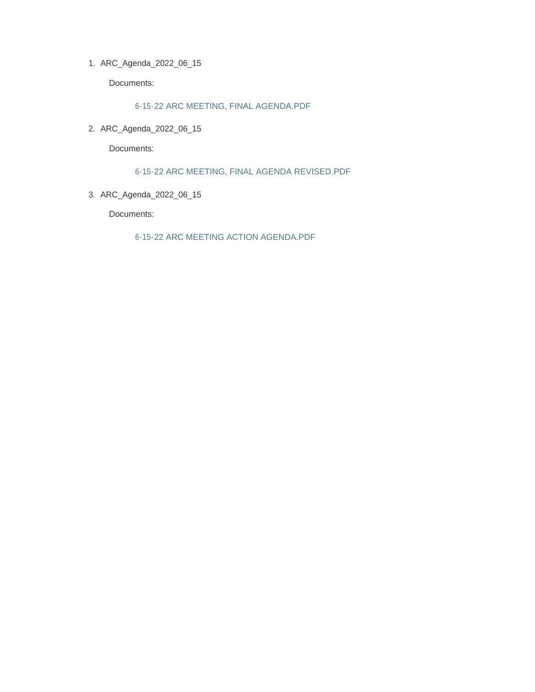ARC\_Agenda\_2022\_06\_15 1.

Documents:

6-15-22 ARC MEETING, FINAL AGENDA.PDF

ARC\_Agenda\_2022\_06\_15 2.

Documents:

6-15-22 ARC MEETING, FINAL AGENDA REVISED.PDF

ARC\_Agenda\_2022\_06\_15 3.

Documents:

6-15-22 ARC MEETING ACTION AGENDA.PDF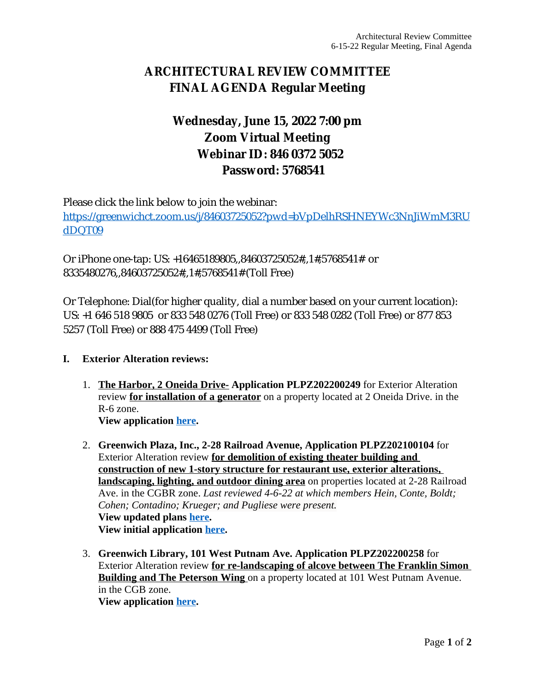# **ARCHITECTURAL REVIEW COMMITTEE FINAL AGENDA Regular Meeting**

# **Wednesday, June 15, 2022 7:00 pm Zoom Virtual Meeting Webinar ID: 846 0372 5052 Password: 5768541**

Please click the link below to join the webinar: [https://greenwichct.zoom.us/j/84603725052?pwd=bVpDelhRSHNEYWc3NnJiWmM3RU](https://greenwichct.zoom.us/j/84603725052?pwd=bVpDelhRSHNEYWc3NnJiWmM3RUdDQT09) dDQT09

Or iPhone one-tap: US: +16465189805,,84603725052#,,1#,5768541# or 8335480276,,84603725052#,,1#,5768541# (Toll Free)

Or Telephone: Dial(for higher quality, dial a number based on your current location): US: +1 646 518 9805 or 833 548 0276 (Toll Free) or 833 548 0282 (Toll Free) or 877 853 5257 (Toll Free) or 888 475 4499 (Toll Free)

### **I. Exterior Alteration reviews:**

- 1. **The Harbor, 2 Oneida Drive- Application PLPZ202200249** for Exterior Alteration review **for installation of a generator** on a property located at 2 Oneida Drive. in the R-6 zone. **View application [here](https://www.greenwichct.gov/DocumentCenter/View/31479/2-Oneida-Dr-generator-PLPZ202200249).**
- 2. **Greenwich Plaza, Inc., 2-28 Railroad Avenue, Application PLPZ202100104** for Exterior Alteration review **for demolition of existing theater building and construction of new 1-story structure for restaurant use, exterior alterations, landscaping, lighting, and outdoor dining area** on properties located at 2-28 Railroad Ave. in the CGBR zone. *Last reviewed 4-6-22 at which members Hein, Conte, Boldt; Cohen; Contadino; Krueger; and Pugliese were present.* **View updated plans [here.](https://www.greenwichct.gov/DocumentCenter/View/31480/2-28-Railroad-Ave-Gwich-Station-PLPZ202200104) View initial application [here](https://www.greenwichct.gov/DocumentCenter/View/29454/2-28-RR-Ave-PLPZ-202200104).**
- 3. **Greenwich Library, 101 West Putnam Ave. Application PLPZ202200258** for Exterior Alteration review **for re-landscaping of alcove between The Franklin Simon Building and The Peterson Wing on a property located at 101 West Putnam Avenue.** in the CGB zone. **View application [here](https://www.greenwichct.gov/DocumentCenter/View/31482/101-West-Putnam-Ave-Gwich-Library-PLPZ202200258).**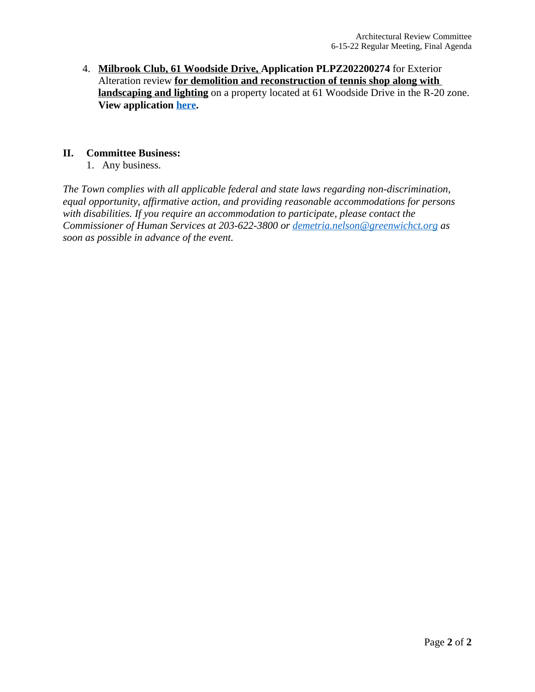4. **Milbrook Club, 61 Woodside Drive, Application PLPZ202200274** for Exterior Alteration review **for demolition and reconstruction of tennis shop along with landscaping and lighting** on a property located at 61 Woodside Drive in the R-20 zone. **View application [here](https://www.greenwichct.gov/DocumentCenter/View/31481/61-Woodside-Dr-The-Milbrook-Club-PLPZ202200274).**

#### **II. Committee Business:**

1. Any business.

*The Town complies with all applicable federal and state laws regarding non-discrimination, equal opportunity, affirmative action, and providing reasonable accommodations for persons with disabilities. If you require an accommodation to participate, please contact the Commissioner of Human Services at 203-622-3800 or [demetria.nelson@greenwichct.org](mailto:demetria.nelson@greenwichct.org) as soon as possible in advance of the event.*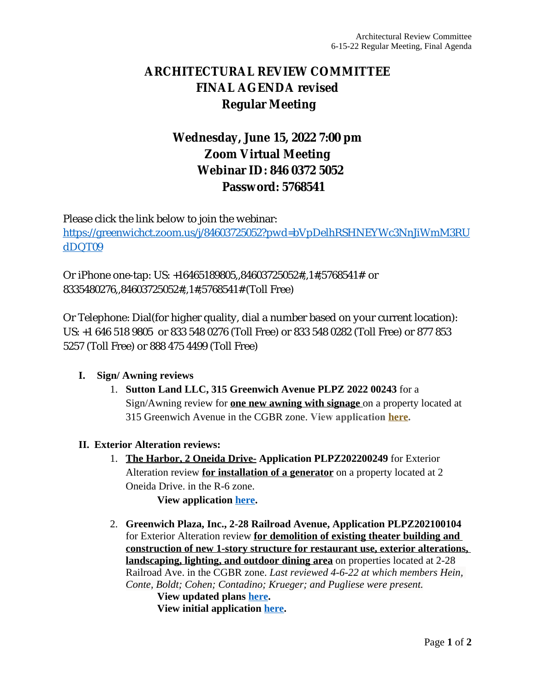# **ARCHITECTURAL REVIEW COMMITTEE FINAL AGENDA revised Regular Meeting**

# **Wednesday, June 15, 2022 7:00 pm Zoom Virtual Meeting Webinar ID: 846 0372 5052 Password: 5768541**

Please click the link below to join the webinar: [https://greenwichct.zoom.us/j/84603725052?pwd=bVpDelhRSHNEYWc3NnJiWmM3RU](https://greenwichct.zoom.us/j/84603725052?pwd=bVpDelhRSHNEYWc3NnJiWmM3RUdDQT09) dDQT09

Or iPhone one-tap: US: +16465189805,,84603725052#,,1#,5768541# or 8335480276,,84603725052#,,1#,5768541# (Toll Free)

Or Telephone: Dial(for higher quality, dial a number based on your current location): US: +1 646 518 9805 or 833 548 0276 (Toll Free) or 833 548 0282 (Toll Free) or 877 853 5257 (Toll Free) or 888 475 4499 (Toll Free)

### **I. Sign/ Awning reviews**

1. **Sutton Land LLC, 315 Greenwich Avenue PLPZ 2022 00243** for a Sign/Awning review for **one new awning with signage** on a property located at 315 Greenwich Avenue in the CGBR zone. **View application [here](https://www.greenwichct.gov/DocumentCenter/View/31284/315-Greenwich-Avenue---PLPZ202200243).**

### **II. Exterior Alteration reviews:**

1. **The Harbor, 2 Oneida Drive- Application PLPZ202200249** for Exterior Alteration review **for installation of a generator** on a property located at 2 Oneida Drive. in the R-6 zone.

**View application [here.](https://www.greenwichct.gov/DocumentCenter/View/31479/2-Oneida-Dr-generator-PLPZ202200249)**

2. **Greenwich Plaza, Inc., 2-28 Railroad Avenue, Application PLPZ202100104** for Exterior Alteration review **for demolition of existing theater building and construction of new 1-story structure for restaurant use, exterior alterations, landscaping, lighting, and outdoor dining area** on properties located at 2-28 Railroad Ave. in the CGBR zone. *Last reviewed 4-6-22 at which members Hein, Conte, Boldt; Cohen; Contadino; Krueger; and Pugliese were present.*

**View updated plans [here](https://www.greenwichct.gov/DocumentCenter/View/31480/2-28-Railroad-Ave-Gwich-Station-PLPZ202200104). View initial application [here.](https://www.greenwichct.gov/DocumentCenter/View/29454/2-28-RR-Ave-PLPZ-202200104)**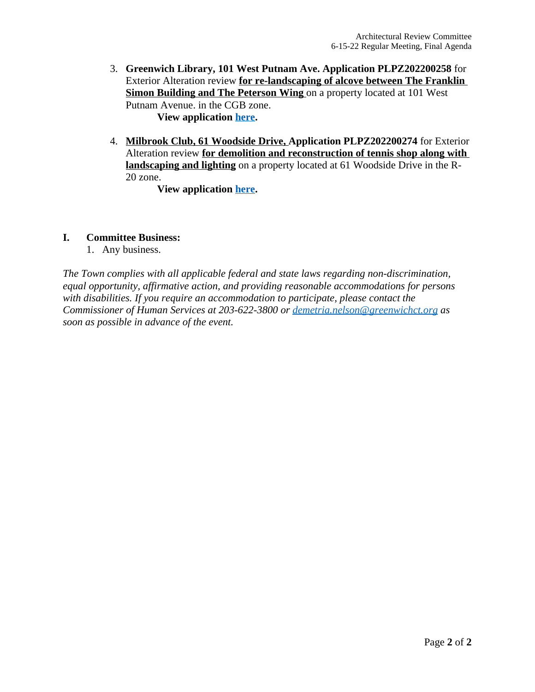- 3. **Greenwich Library, 101 West Putnam Ave. Application PLPZ202200258** for Exterior Alteration review **for re-landscaping of alcove between The Franklin Simon Building and The Peterson Wing on a property located at 101 West** Putnam Avenue. in the CGB zone. **View application [here.](https://www.greenwichct.gov/DocumentCenter/View/31482/101-West-Putnam-Ave-Gwich-Library-PLPZ202200258)**
- 4. **Milbrook Club, 61 Woodside Drive, Application PLPZ202200274** for Exterior Alteration review **for demolition and reconstruction of tennis shop along with landscaping and lighting** on a property located at 61 Woodside Drive in the R-20 zone.

**View application [here.](https://www.greenwichct.gov/DocumentCenter/View/31481/61-Woodside-Dr-The-Milbrook-Club-PLPZ202200274)**

### **I. Committee Business:**

1. Any business.

*The Town complies with all applicable federal and state laws regarding non-discrimination, equal opportunity, affirmative action, and providing reasonable accommodations for persons with disabilities. If you require an accommodation to participate, please contact the Commissioner of Human Services at 203-622-3800 or [demetria.nelson@greenwichct.org](mailto:demetria.nelson@greenwichct.org) as soon as possible in advance of the event.*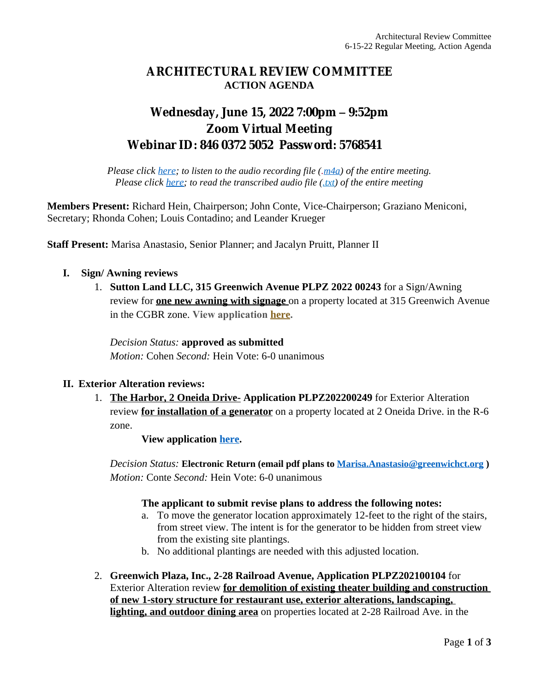### **ARCHITECTURAL REVIEW COMMITTEE ACTION AGENDA**

## **Wednesday, June 15, 2022 7:00pm – 9:52pm Zoom Virtual Meeting Webinar ID: 846 0372 5052 Password: 5768541**

*Please click [here](https://www.greenwichct.gov/DocumentCenter/View/31549/2022_06_15_ARC_Meeting_Audio); to listen to the audio recording file (.[m4a](https://www.greenwichct.gov/DocumentCenter/View/31549/2022_06_15_ARC_Meeting_Audio)) of the entire meeting. Please click [here;](https://www.greenwichct.gov/DocumentCenter/View/31550/2022_06_15_ARC_Meeting_Transcript) to read the transcribed audio file [\(.txt](https://www.greenwichct.gov/DocumentCenter/View/31550/2022_06_15_ARC_Meeting_Transcript)) of the entire meeting*

**Members Present:** Richard Hein, Chairperson; John Conte, Vice-Chairperson; Graziano Meniconi, Secretary; Rhonda Cohen; Louis Contadino; and Leander Krueger

**Staff Present:** Marisa Anastasio, Senior Planner; and Jacalyn Pruitt, Planner II

### **I. Sign/ Awning reviews**

1. **Sutton Land LLC, 315 Greenwich Avenue PLPZ 2022 00243** for a Sign/Awning review for **one new awning with signage** on a property located at 315 Greenwich Avenue in the CGBR zone. **View application [here](https://www.greenwichct.gov/DocumentCenter/View/31284/315-Greenwich-Avenue---PLPZ202200243).**

*Decision Status:* **approved as submitted** *Motion:* Cohen *Second:* Hein Vote: 6-0 unanimous

### **II. Exterior Alteration reviews:**

1. **The Harbor, 2 Oneida Drive- Application PLPZ202200249** for Exterior Alteration review **for installation of a generator** on a property located at 2 Oneida Drive. in the R-6 zone.

**View application [here.](https://www.greenwichct.gov/DocumentCenter/View/31479/2-Oneida-Dr-generator-PLPZ202200249)**

*Decision Status:* **Electronic Return (email pdf plans to [Marisa.Anastasio@greenwichct.org](mailto:Marisa.Anastasio@greenwichct.org) )** *Motion:* Conte *Second:* Hein Vote: 6-0 unanimous

#### **The applicant to submit revise plans to address the following notes:**

- a. To move the generator location approximately 12-feet to the right of the stairs, from street view. The intent is for the generator to be hidden from street view from the existing site plantings.
- b. No additional plantings are needed with this adjusted location.
- 2. **Greenwich Plaza, Inc., 2-28 Railroad Avenue, Application PLPZ202100104** for Exterior Alteration review **for demolition of existing theater building and construction of new 1-story structure for restaurant use, exterior alterations, landscaping, lighting, and outdoor dining area** on properties located at 2-28 Railroad Ave. in the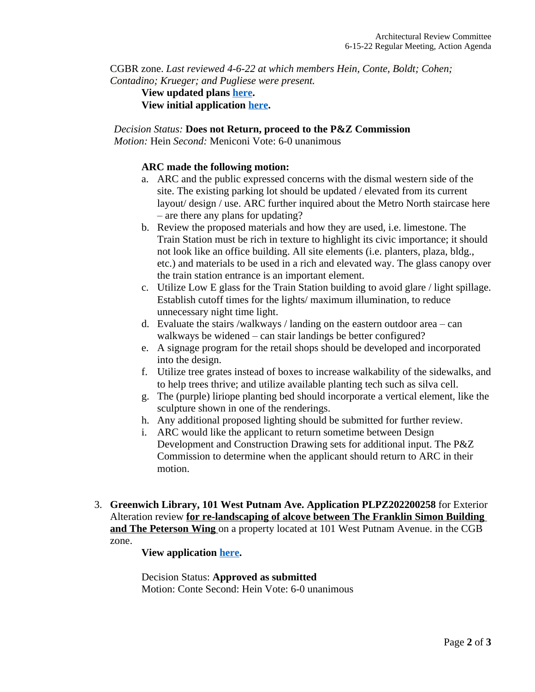CGBR zone. *Last reviewed 4-6-22 at which members Hein, Conte, Boldt; Cohen; Contadino; Krueger; and Pugliese were present.*

### **View updated plans [here](https://www.greenwichct.gov/DocumentCenter/View/31480/2-28-Railroad-Ave-Gwich-Station-PLPZ202200104). View initial application [here.](https://www.greenwichct.gov/DocumentCenter/View/29454/2-28-RR-Ave-PLPZ-202200104)**

#### *Decision Status:* **Does not Return, proceed to the P&Z Commission**

*Motion:* Hein *Second:* Meniconi Vote: 6-0 unanimous

### **ARC made the following motion:**

- a. ARC and the public expressed concerns with the dismal western side of the site. The existing parking lot should be updated / elevated from its current layout/ design / use. ARC further inquired about the Metro North staircase here – are there any plans for updating?
- b. Review the proposed materials and how they are used, i.e. limestone. The Train Station must be rich in texture to highlight its civic importance; it should not look like an office building. All site elements (i.e. planters, plaza, bldg., etc.) and materials to be used in a rich and elevated way. The glass canopy over the train station entrance is an important element.
- c. Utilize Low E glass for the Train Station building to avoid glare / light spillage. Establish cutoff times for the lights/ maximum illumination, to reduce unnecessary night time light.
- d. Evaluate the stairs /walkways / landing on the eastern outdoor area can walkways be widened – can stair landings be better configured?
- e. A signage program for the retail shops should be developed and incorporated into the design.
- f. Utilize tree grates instead of boxes to increase walkability of the sidewalks, and to help trees thrive; and utilize available planting tech such as silva cell.
- g. The (purple) liriope planting bed should incorporate a vertical element, like the sculpture shown in one of the renderings.
- h. Any additional proposed lighting should be submitted for further review.
- i. ARC would like the applicant to return sometime between Design Development and Construction Drawing sets for additional input. The P&Z Commission to determine when the applicant should return to ARC in their motion.
- 3. **Greenwich Library, 101 West Putnam Ave. Application PLPZ202200258** for Exterior Alteration review **for re-landscaping of alcove between The Franklin Simon Building and The Peterson Wing** on a property located at 101 West Putnam Avenue. in the CGB zone.

### **View application [here.](https://www.greenwichct.gov/DocumentCenter/View/31482/101-West-Putnam-Ave-Gwich-Library-PLPZ202200258)**

Decision Status: **Approved as submitted** Motion: Conte Second: Hein Vote: 6-0 unanimous